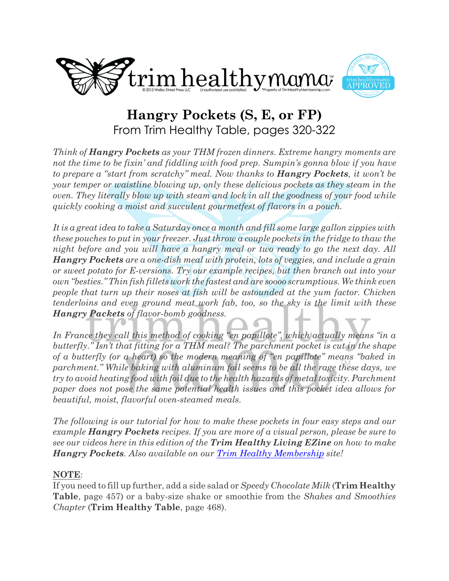



# **Hangry Pockets (S, E, or FP)** From Trim Healthy Table, pages 320-322

*Think of Hangry Pockets as your THM frozen dinners. Extreme hangry moments are not the time to be fixin' and fiddling with food prep. Sumpin's gonna blow if you have to prepare a "start from scratchy" meal. Now thanks to Hangry Pockets, it won't be your temper or waistline blowing up, only these delicious pockets as they steam in the oven. They literally blow up with steam and lock in all the goodness of your food while quickly cooking a moist and succulent gourmetfest of flavors in a pouch.*

*It is a great idea to take a Saturday once a month and fill some large gallon zippies with these pouches to put in your freezer. Just throw a couple pockets in the fridge to thaw the night before and you will have a hangry meal or two ready to go the next day. All Hangry Pockets are a one-dish meal with protein, lots of veggies, and include a grain or sweet potato for E-versions. Try our example recipes, but then branch out into your own "besties." Thin fish fillets work the fastest and are soooo scrumptious. We think even people that turn up their noses at fish will be astounded at the yum factor. Chicken tenderloins and even ground meat work fab, too, so the sky is the limit with these Hangry Packets of flavor-bomb goodness.*

*In France they call this method of cooking "en papillote", which actually means "in a butterfly." Isn't that fitting for a THM meal? The parchment pocket is cut in the shape of a butterfly (or a heart) so the modern meaning of "en papillote" means "baked in parchment." While baking with aluminum foil seems to be all the rage these days, we try to avoid heating food with foil due to the health hazards of metal toxicity. Parchment paper does not pose the same potential health issues and this pocket idea allows for beautiful, moist, flavorful oven-steamed meals.*

*The following is our tutorial for how to make these pockets in four easy steps and our example Hangry Pockets recipes. If you are more of a visual person, please be sure to see our videos here in this edition of the Trim Healthy Living EZine on how to make Hangry Pockets. Also available on our [Trim Healthy Membership](http://www.TrimHealthyMembership.com) site!*

### **NOTE**:

If you need to fill up further, add a side salad or *Speedy Chocolate Milk* (**Trim Healthy Table**, page 457) or a baby-size shake or smoothie from the *Shakes and Smoothies Chapter* (**Trim Healthy Table**, page 468).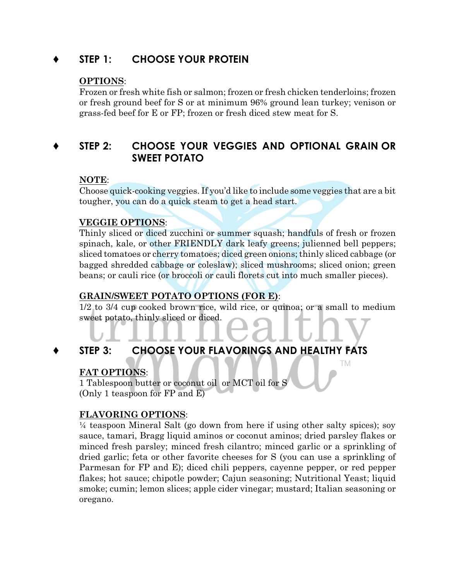# **STEP 1: CHOOSE YOUR PROTEIN**

### **OPTIONS**:

Frozen or fresh white fish or salmon; frozen or fresh chicken tenderloins; frozen or fresh ground beef for S or at minimum 96% ground lean turkey; venison or grass-fed beef for E or FP; frozen or fresh diced stew meat for S.

# **STEP 2: CHOOSE YOUR VEGGIES AND OPTIONAL GRAIN OR SWEET POTATO**

### **NOTE**:

Choose quick-cooking veggies. If you'd like to include some veggies that are a bit tougher, you can do a quick steam to get a head start.

### **VEGGIE OPTIONS**:

Thinly sliced or diced zucchini or summer squash; handfuls of fresh or frozen spinach, kale, or other FRIENDLY dark leafy greens; julienned bell peppers; sliced tomatoes or cherry tomatoes; diced green onions; thinly sliced cabbage (or bagged shredded cabbage or coleslaw); sliced mushrooms; sliced onion; green beans; or cauli rice (or broccoli or cauli florets cut into much smaller pieces).

### **GRAIN/SWEET POTATO OPTIONS (FOR E)**:

1/2 to 3/4 cup cooked brown rice, wild rice, or quinoa; or a small to medium sweet potato, thinly sliced or diced.

TM.

# **STEP 3: CHOOSE YOUR FLAVORINGS AND HEALTHY FATS**

### **FAT OPTIONS**:

1 Tablespoon butter or coconut oil or MCT oil for S (Only 1 teaspoon for FP and E)

### **FLAVORING OPTIONS**:

¼ teaspoon Mineral Salt (go down from here if using other salty spices); soy sauce, tamari, Bragg liquid aminos or coconut aminos; dried parsley flakes or minced fresh parsley; minced fresh cilantro; minced garlic or a sprinkling of dried garlic; feta or other favorite cheeses for S (you can use a sprinkling of Parmesan for FP and E); diced chili peppers, cayenne pepper, or red pepper flakes; hot sauce; chipotle powder; Cajun seasoning; Nutritional Yeast; liquid smoke; cumin; lemon slices; apple cider vinegar; mustard; Italian seasoning or oregano.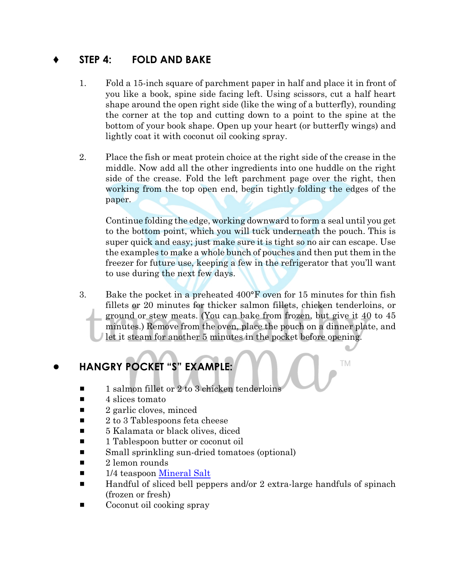# **STEP 4: FOLD AND BAKE**

- 1. Fold a 15-inch square of parchment paper in half and place it in front of you like a book, spine side facing left. Using scissors, cut a half heart shape around the open right side (like the wing of a butterfly), rounding the corner at the top and cutting down to a point to the spine at the bottom of your book shape. Open up your heart (or butterfly wings) and lightly coat it with coconut oil cooking spray.
- 2. Place the fish or meat protein choice at the right side of the crease in the middle. Now add all the other ingredients into one huddle on the right side of the crease. Fold the left parchment page over the right, then working from the top open end, begin tightly folding the edges of the paper.

Continue folding the edge, working downward to form a seal until you get to the bottom point, which you will tuck underneath the pouch. This is super quick and easy; just make sure it is tight so no air can escape. Use the examples to make a whole bunch of pouches and then put them in the freezer for future use, keeping a few in the refrigerator that you'll want to use during the next few days.

3. Bake the pocket in a preheated 400°F oven for 15 minutes for thin fish fillets or 20 minutes for thicker salmon fillets, chicken tenderloins, or ground or stew meats. (You can bake from frozen, but give it 40 to 45 minutes.) Remove from the oven, place the pouch on a dinner plate, and let it steam for another 5 minutes in the pocket before opening.

TM

# ! **HANGRY POCKET "S" EXAMPLE:**

- $\blacksquare$  1 salmon fillet or 2 to 3 chicken tenderloins
- $\blacksquare$  4 slices tomato
- $\blacksquare$  2 garlic cloves, minced
- $\blacksquare$  2 to 3 Tablespoons feta cheese
- $\blacksquare$  5 Kalamata or black olives, diced
- 1 Tablespoon butter or coconut oil
- $\blacksquare$  Small sprinkling sun-dried tomatoes (optional)
- $\blacksquare$  2 lemon rounds
- $\blacksquare$  1/4 teaspoon [Mineral Salt](https://store.trimhealthymama.com/product/himalayan-mineral-salt-12oz-bag-2/)
- $\blacksquare$  Handful of sliced bell peppers and/or 2 extra-large handfuls of spinach (frozen or fresh)
- $\blacksquare$  Coconut oil cooking spray